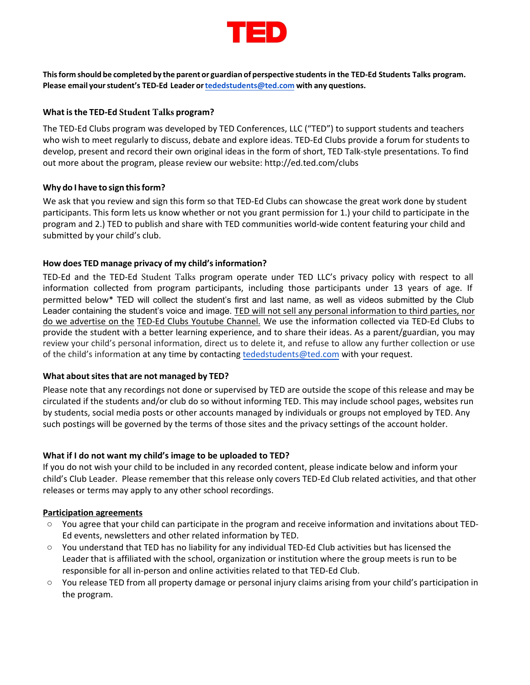

**Thisform should be completed by the parent or guardian of perspective students in the TED-Ed Students Talks program. Please email your student's TED-Ed Leader orteded students[@ted.com](mailto:tededclubs@ted.com) with any questions.** 

# **What is the TED- Ed Student Talksprogram?**

The TED-Ed Clubs program was developed by TED Conferences, LLC ("TED") to support students and teachers who wish to meet regularly to discuss, debate and explore ideas. TED-Ed Clubs provide a forum for students to develop, present and record their own original ideas in the form of short, TED Talk-style presentations. To find out more about the program, please review our website: <http://ed.ted.com/clubs>

### **Why do I have to sign this form?**

We ask that you review and sign this form so that TED-Ed Clubs can showcase the great work done by student participants. This form lets us know whether or not you grant permission for 1.) your child to participate in the program and 2.) TED to publish and share with TED communities world-wide content featuring your child and submitted by your child's club.

# **How does TED manage privacy of my child's information?**

TED-Ed and the TED-Ed Student Talks program operate under TED LLC's [privacy](http://www.ted.com/about/our-organization/our-policies-terms/privacy-policy) policy with respect to all information collected from program participants, including those participants under 13 years of age. If permitted below\* TED will collect the student's first and last name, as well as videos submitted by the Club Leader containing the student's voice and image. TED will not sell any personal information to third parties, nor do we advertise on the TED-Ed Clubs Youtube Channel. We use the information collected via TED-Ed Clubs to provide the student with a better learning experience, and to share their ideas. As a parent/guardian, you may review your child's personal information, direct us to delete it, and refuse to allow any further collection or use of the child's information at any time by contacting tededstudents[@ted.com](mailto:tededclubs@ted.com) with your request.

### **What about sites that are not managed by TED?**

Please note that any recordings not done or supervised by TED are outside the scope of this release and may be circulated if the students and/or club do so without informing TED. This may include school pages, websites run by students, social media posts or other accounts managed by individuals or groups not employed by TED. Any such postings will be governed by the terms of those sites and the privacy settings of the account holder.

### **What if I do not want my child's image to be uploaded to TED?**

If you do not wish your child to be included in any recorded content, please indicate below and inform your child's Club Leader. Please remember that this release only covers TED-Ed Club related activities, and that other releases or terms may apply to any other school recordings.

### **Participation agreements**

- You agree that your child can participate in the program and receive information and invitations about TED-Ed events, newsletters and other related information by TED.
- You understand that TED has no liability for any individual TED-Ed Club activities but has licensed the Leader that is affiliated with the school, organization or institution where the group meets is run to be responsible for all in-person and online activities related to that TED-Ed Club.
- You release TED from all property damage or personal injury claims arising from your child's participation in the program.